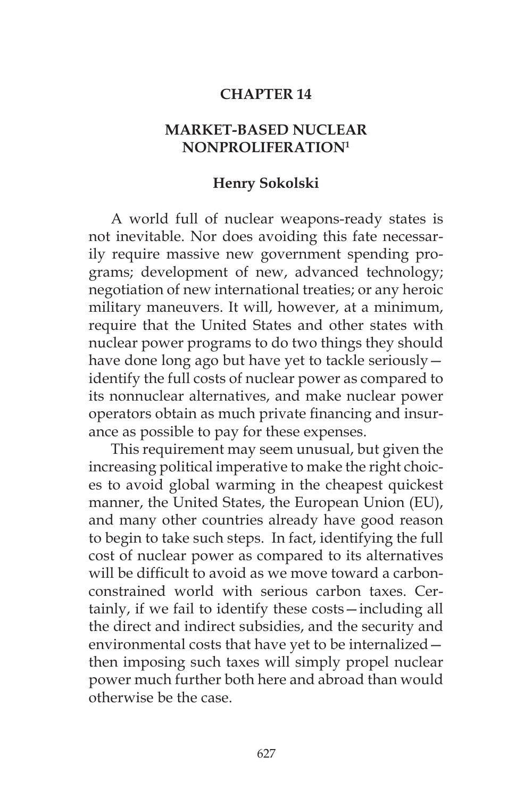## **CHAPTER 14**

## **MARKET-BASED NUCLEAR NONPROLIFERATION1**

## **Henry Sokolski**

A world full of nuclear weapons-ready states is not inevitable. Nor does avoiding this fate necessarily require massive new government spending programs; development of new, advanced technology; negotiation of new international treaties; or any heroic military maneuvers. It will, however, at a minimum, require that the United States and other states with nuclear power programs to do two things they should have done long ago but have yet to tackle seriously identify the full costs of nuclear power as compared to its nonnuclear alternatives, and make nuclear power operators obtain as much private financing and insurance as possible to pay for these expenses.

This requirement may seem unusual, but given the increasing political imperative to make the right choices to avoid global warming in the cheapest quickest manner, the United States, the European Union (EU), and many other countries already have good reason to begin to take such steps. In fact, identifying the full cost of nuclear power as compared to its alternatives will be difficult to avoid as we move toward a carbonconstrained world with serious carbon taxes. Certainly, if we fail to identify these costs—including all the direct and indirect subsidies, and the security and environmental costs that have yet to be internalized then imposing such taxes will simply propel nuclear power much further both here and abroad than would otherwise be the case.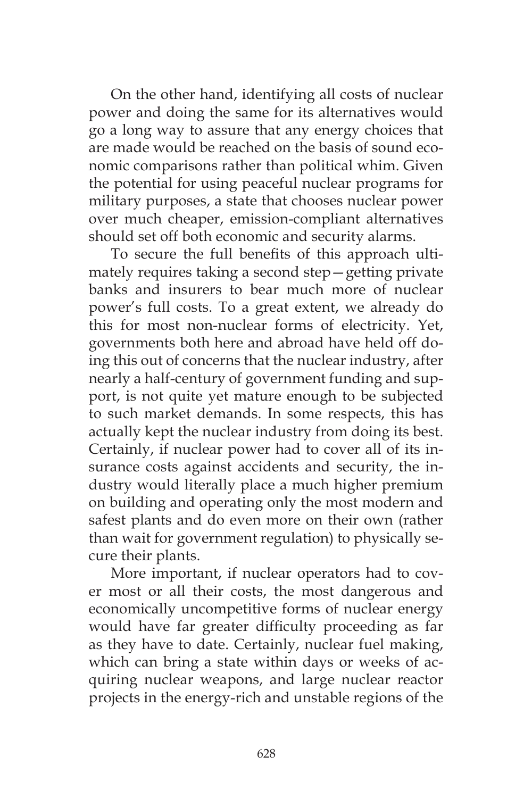On the other hand, identifying all costs of nuclear power and doing the same for its alternatives would go a long way to assure that any energy choices that are made would be reached on the basis of sound economic comparisons rather than political whim. Given the potential for using peaceful nuclear programs for military purposes, a state that chooses nuclear power over much cheaper, emission-compliant alternatives should set off both economic and security alarms.

To secure the full benefits of this approach ultimately requires taking a second step—getting private banks and insurers to bear much more of nuclear power's full costs. To a great extent, we already do this for most non-nuclear forms of electricity. Yet, governments both here and abroad have held off doing this out of concerns that the nuclear industry, after nearly a half-century of government funding and support, is not quite yet mature enough to be subjected to such market demands. In some respects, this has actually kept the nuclear industry from doing its best. Certainly, if nuclear power had to cover all of its insurance costs against accidents and security, the industry would literally place a much higher premium on building and operating only the most modern and safest plants and do even more on their own (rather than wait for government regulation) to physically secure their plants.

More important, if nuclear operators had to cover most or all their costs, the most dangerous and economically uncompetitive forms of nuclear energy would have far greater difficulty proceeding as far as they have to date. Certainly, nuclear fuel making, which can bring a state within days or weeks of acquiring nuclear weapons, and large nuclear reactor projects in the energy-rich and unstable regions of the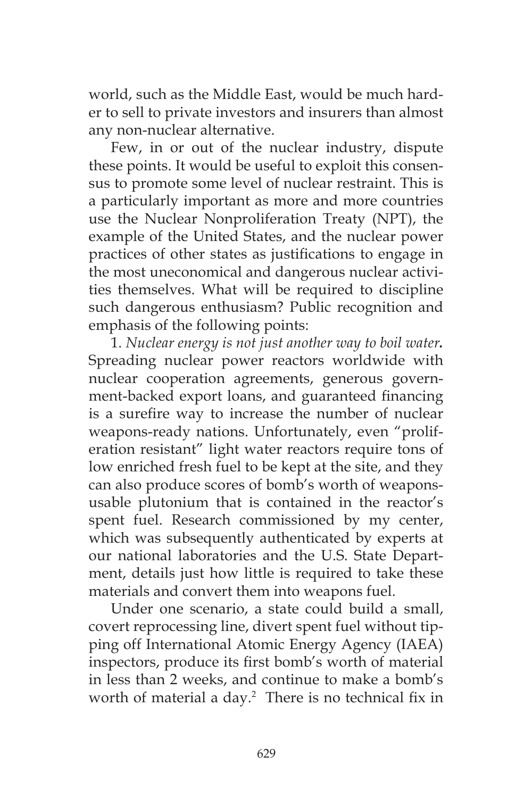world, such as the Middle East, would be much harder to sell to private investors and insurers than almost any non-nuclear alternative.

Few, in or out of the nuclear industry, dispute these points. It would be useful to exploit this consensus to promote some level of nuclear restraint. This is a particularly important as more and more countries use the Nuclear Nonproliferation Treaty (NPT), the example of the United States, and the nuclear power practices of other states as justifications to engage in the most uneconomical and dangerous nuclear activities themselves. What will be required to discipline such dangerous enthusiasm? Public recognition and emphasis of the following points:

1. *Nuclear energy is not just another way to boil water.* Spreading nuclear power reactors worldwide with nuclear cooperation agreements, generous government-backed export loans, and guaranteed financing is a surefire way to increase the number of nuclear weapons-ready nations. Unfortunately, even "proliferation resistant" light water reactors require tons of low enriched fresh fuel to be kept at the site, and they can also produce scores of bomb's worth of weaponsusable plutonium that is contained in the reactor's spent fuel. Research commissioned by my center, which was subsequently authenticated by experts at our national laboratories and the U.S. State Department, details just how little is required to take these materials and convert them into weapons fuel.

Under one scenario, a state could build a small, covert reprocessing line, divert spent fuel without tipping off International Atomic Energy Agency (IAEA) inspectors, produce its first bomb's worth of material in less than 2 weeks, and continue to make a bomb's worth of material a day.<sup>2</sup> There is no technical fix in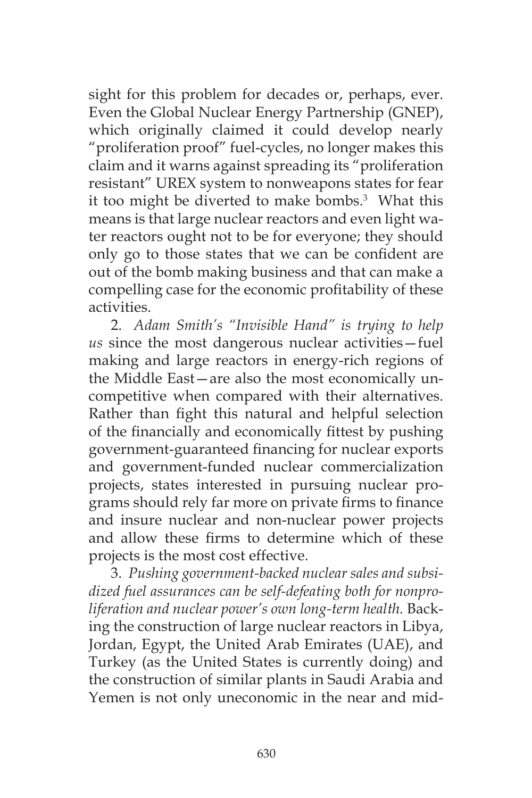sight for this problem for decades or, perhaps, ever. Even the Global Nuclear Energy Partnership (GNEP), which originally claimed it could develop nearly "proliferation proof" fuel-cycles, no longer makes this claim and it warns against spreading its "proliferation resistant" UREX system to nonweapons states for fear it too might be diverted to make bombs.<sup>3</sup> What this means is that large nuclear reactors and even light water reactors ought not to be for everyone; they should only go to those states that we can be confident are out of the bomb making business and that can make a compelling case for the economic profitability of these activities.

2. *Adam Smith's "Invisible Hand" is trying to help us* since the most dangerous nuclear activities—fuel making and large reactors in energy-rich regions of the Middle East—are also the most economically uncompetitive when compared with their alternatives. Rather than fight this natural and helpful selection of the financially and economically fittest by pushing government-guaranteed financing for nuclear exports and government-funded nuclear commercialization projects, states interested in pursuing nuclear programs should rely far more on private firms to finance and insure nuclear and non-nuclear power projects and allow these firms to determine which of these projects is the most cost effective.

3. *Pushing government-backed nuclear sales and subsidized fuel assurances can be self-defeating both for nonproliferation and nuclear power's own long-term health.* Backing the construction of large nuclear reactors in Libya, Jordan, Egypt, the United Arab Emirates (UAE), and Turkey (as the United States is currently doing) and the construction of similar plants in Saudi Arabia and Yemen is not only uneconomic in the near and mid-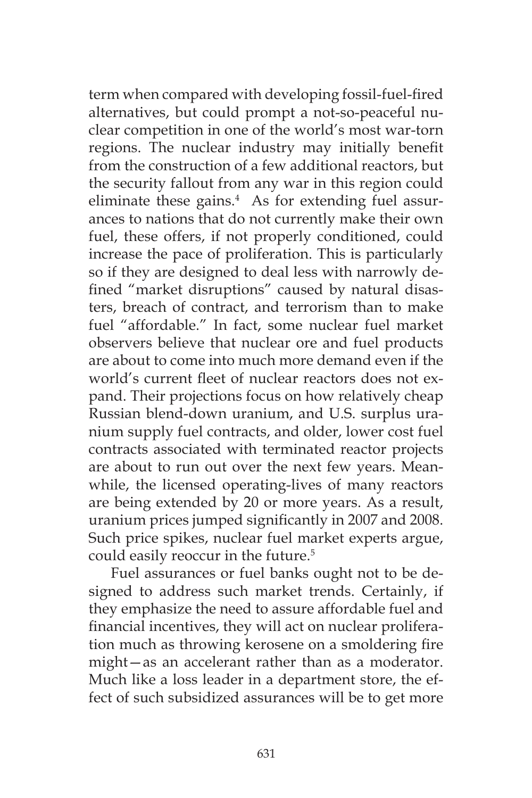term when compared with developing fossil-fuel-fired alternatives, but could prompt a not-so-peaceful nuclear competition in one of the world's most war-torn regions. The nuclear industry may initially benefit from the construction of a few additional reactors, but the security fallout from any war in this region could eliminate these gains.<sup>4</sup> As for extending fuel assurances to nations that do not currently make their own fuel, these offers, if not properly conditioned, could increase the pace of proliferation. This is particularly so if they are designed to deal less with narrowly defined "market disruptions" caused by natural disasters, breach of contract, and terrorism than to make fuel "affordable." In fact, some nuclear fuel market observers believe that nuclear ore and fuel products are about to come into much more demand even if the world's current fleet of nuclear reactors does not expand. Their projections focus on how relatively cheap Russian blend-down uranium, and U.S. surplus uranium supply fuel contracts, and older, lower cost fuel contracts associated with terminated reactor projects are about to run out over the next few years. Meanwhile, the licensed operating-lives of many reactors are being extended by 20 or more years. As a result, uranium prices jumped significantly in 2007 and 2008. Such price spikes, nuclear fuel market experts argue, could easily reoccur in the future.<sup>5</sup>

Fuel assurances or fuel banks ought not to be designed to address such market trends. Certainly, if they emphasize the need to assure affordable fuel and financial incentives, they will act on nuclear proliferation much as throwing kerosene on a smoldering fire might—as an accelerant rather than as a moderator. Much like a loss leader in a department store, the effect of such subsidized assurances will be to get more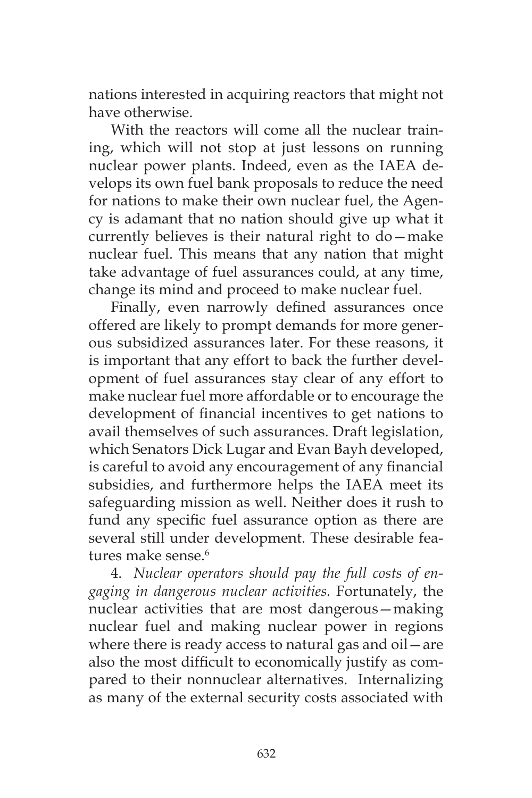nations interested in acquiring reactors that might not have otherwise.

With the reactors will come all the nuclear training, which will not stop at just lessons on running nuclear power plants. Indeed, even as the IAEA develops its own fuel bank proposals to reduce the need for nations to make their own nuclear fuel, the Agency is adamant that no nation should give up what it currently believes is their natural right to do—make nuclear fuel. This means that any nation that might take advantage of fuel assurances could, at any time, change its mind and proceed to make nuclear fuel.

Finally, even narrowly defined assurances once offered are likely to prompt demands for more generous subsidized assurances later. For these reasons, it is important that any effort to back the further development of fuel assurances stay clear of any effort to make nuclear fuel more affordable or to encourage the development of financial incentives to get nations to avail themselves of such assurances. Draft legislation, which Senators Dick Lugar and Evan Bayh developed, is careful to avoid any encouragement of any financial subsidies, and furthermore helps the IAEA meet its safeguarding mission as well. Neither does it rush to fund any specific fuel assurance option as there are several still under development. These desirable features make sense.<sup>6</sup>

4. *Nuclear operators should pay the full costs of engaging in dangerous nuclear activities.* Fortunately, the nuclear activities that are most dangerous—making nuclear fuel and making nuclear power in regions where there is ready access to natural gas and oil—are also the most difficult to economically justify as compared to their nonnuclear alternatives. Internalizing as many of the external security costs associated with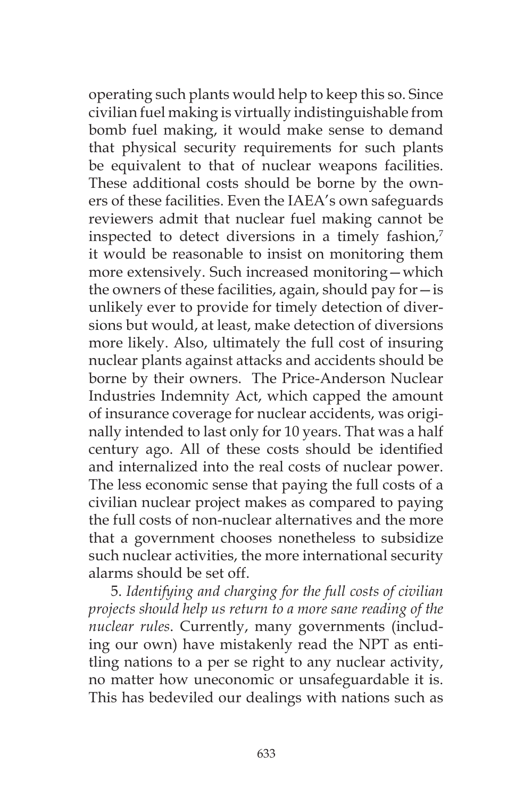operating such plants would help to keep this so. Since civilian fuel making is virtually indistinguishable from bomb fuel making, it would make sense to demand that physical security requirements for such plants be equivalent to that of nuclear weapons facilities. These additional costs should be borne by the owners of these facilities. Even the IAEA's own safeguards reviewers admit that nuclear fuel making cannot be inspected to detect diversions in a timely fashion,<sup>7</sup> it would be reasonable to insist on monitoring them more extensively. Such increased monitoring—which the owners of these facilities, again, should pay for $-$ is unlikely ever to provide for timely detection of diversions but would, at least, make detection of diversions more likely. Also, ultimately the full cost of insuring nuclear plants against attacks and accidents should be borne by their owners. The Price-Anderson Nuclear Industries Indemnity Act, which capped the amount of insurance coverage for nuclear accidents, was originally intended to last only for 10 years. That was a half century ago. All of these costs should be identified and internalized into the real costs of nuclear power. The less economic sense that paying the full costs of a civilian nuclear project makes as compared to paying the full costs of non-nuclear alternatives and the more that a government chooses nonetheless to subsidize such nuclear activities, the more international security alarms should be set off.

5. *Identifying and charging for the full costs of civilian projects should help us return to a more sane reading of the nuclear rules*. Currently, many governments (including our own) have mistakenly read the NPT as entitling nations to a per se right to any nuclear activity, no matter how uneconomic or unsafeguardable it is. This has bedeviled our dealings with nations such as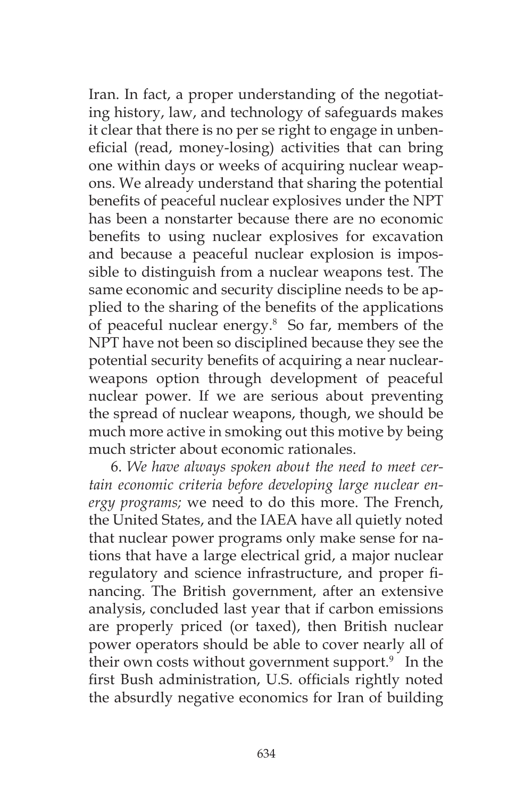Iran. In fact, a proper understanding of the negotiating history, law, and technology of safeguards makes it clear that there is no per se right to engage in unbeneficial (read, money-losing) activities that can bring one within days or weeks of acquiring nuclear weapons. We already understand that sharing the potential benefits of peaceful nuclear explosives under the NPT has been a nonstarter because there are no economic benefits to using nuclear explosives for excavation and because a peaceful nuclear explosion is impossible to distinguish from a nuclear weapons test. The same economic and security discipline needs to be applied to the sharing of the benefits of the applications of peaceful nuclear energy.8 So far, members of the NPT have not been so disciplined because they see the potential security benefits of acquiring a near nuclearweapons option through development of peaceful nuclear power. If we are serious about preventing the spread of nuclear weapons, though, we should be much more active in smoking out this motive by being much stricter about economic rationales.

6. *We have always spoken about the need to meet certain economic criteria before developing large nuclear energy programs;* we need to do this more. The French, the United States, and the IAEA have all quietly noted that nuclear power programs only make sense for nations that have a large electrical grid, a major nuclear regulatory and science infrastructure, and proper financing. The British government, after an extensive analysis, concluded last year that if carbon emissions are properly priced (or taxed), then British nuclear power operators should be able to cover nearly all of their own costs without government support.<sup>9</sup> In the first Bush administration, U.S. officials rightly noted the absurdly negative economics for Iran of building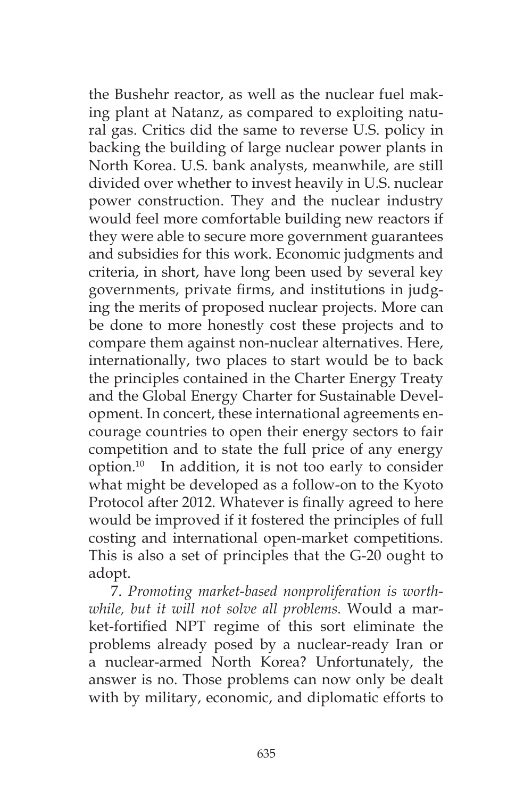the Bushehr reactor, as well as the nuclear fuel making plant at Natanz, as compared to exploiting natural gas. Critics did the same to reverse U.S. policy in backing the building of large nuclear power plants in North Korea. U.S. bank analysts, meanwhile, are still divided over whether to invest heavily in U.S. nuclear power construction. They and the nuclear industry would feel more comfortable building new reactors if they were able to secure more government guarantees and subsidies for this work. Economic judgments and criteria, in short, have long been used by several key governments, private firms, and institutions in judging the merits of proposed nuclear projects. More can be done to more honestly cost these projects and to compare them against non-nuclear alternatives. Here, internationally, two places to start would be to back the principles contained in the Charter Energy Treaty and the Global Energy Charter for Sustainable Development. In concert, these international agreements encourage countries to open their energy sectors to fair competition and to state the full price of any energy option. $10$  In addition, it is not too early to consider what might be developed as a follow-on to the Kyoto Protocol after 2012. Whatever is finally agreed to here would be improved if it fostered the principles of full costing and international open-market competitions. This is also a set of principles that the G-20 ought to adopt.

7. *Promoting market-based nonproliferation is worthwhile, but it will not solve all problems.* Would a market-fortified NPT regime of this sort eliminate the problems already posed by a nuclear-ready Iran or a nuclear-armed North Korea? Unfortunately, the answer is no. Those problems can now only be dealt with by military, economic, and diplomatic efforts to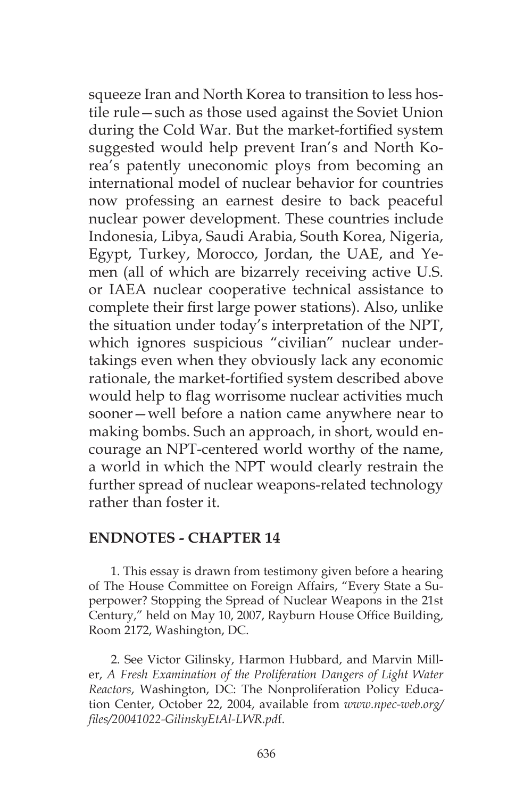squeeze Iran and North Korea to transition to less hostile rule—such as those used against the Soviet Union during the Cold War. But the market-fortified system suggested would help prevent Iran's and North Korea's patently uneconomic ploys from becoming an international model of nuclear behavior for countries now professing an earnest desire to back peaceful nuclear power development. These countries include Indonesia, Libya, Saudi Arabia, South Korea, Nigeria, Egypt, Turkey, Morocco, Jordan, the UAE, and Yemen (all of which are bizarrely receiving active U.S. or IAEA nuclear cooperative technical assistance to complete their first large power stations). Also, unlike the situation under today's interpretation of the NPT, which ignores suspicious "civilian" nuclear undertakings even when they obviously lack any economic rationale, the market-fortified system described above would help to flag worrisome nuclear activities much sooner—well before a nation came anywhere near to making bombs. Such an approach, in short, would encourage an NPT-centered world worthy of the name, a world in which the NPT would clearly restrain the further spread of nuclear weapons-related technology rather than foster it.

## **ENDNOTES - CHAPTER 14**

1. This essay is drawn from testimony given before a hearing of The House Committee on Foreign Affairs, "Every State a Superpower? Stopping the Spread of Nuclear Weapons in the 21st Century," held on May 10, 2007, Rayburn House Office Building, Room 2172, Washington, DC.

2. See Victor Gilinsky, Harmon Hubbard, and Marvin Miller, *A Fresh Examination of the Proliferation Dangers of Light Water Reactors*, Washington, DC: The Nonproliferation Policy Education Center, October 22, 2004, available from *www.npec-web.org/ files/20041022-GilinskyEtAl-LWR.pd*f.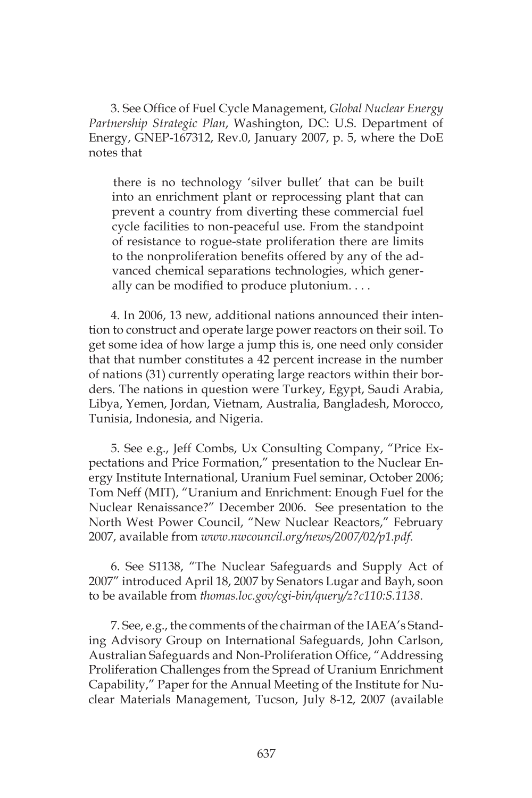3. See Office of Fuel Cycle Management, *Global Nuclear Energy Partnership Strategic Plan*, Washington, DC: U.S. Department of Energy, GNEP-167312, Rev.0, January 2007, p. 5, where the DoE notes that

there is no technology 'silver bullet' that can be built into an enrichment plant or reprocessing plant that can prevent a country from diverting these commercial fuel cycle facilities to non-peaceful use. From the standpoint of resistance to rogue-state proliferation there are limits to the nonproliferation benefits offered by any of the advanced chemical separations technologies, which generally can be modified to produce plutonium. . . .

4. In 2006, 13 new, additional nations announced their intention to construct and operate large power reactors on their soil. To get some idea of how large a jump this is, one need only consider that that number constitutes a 42 percent increase in the number of nations (31) currently operating large reactors within their borders. The nations in question were Turkey, Egypt, Saudi Arabia, Libya, Yemen, Jordan, Vietnam, Australia, Bangladesh, Morocco, Tunisia, Indonesia, and Nigeria.

5. See e.g., Jeff Combs, Ux Consulting Company, "Price Expectations and Price Formation," presentation to the Nuclear Energy Institute International, Uranium Fuel seminar, October 2006; Tom Neff (MIT), "Uranium and Enrichment: Enough Fuel for the Nuclear Renaissance?" December 2006. See presentation to the North West Power Council, "New Nuclear Reactors," February 2007, available from *www.nwcouncil.org/news/2007/02/p1.pdf*.

6. See S1138, "The Nuclear Safeguards and Supply Act of 2007" introduced April 18, 2007 by Senators Lugar and Bayh, soon to be available from *thomas.loc.gov/cgi-bin/query/z?c110:S.1138*.

7. See, e.g., the comments of the chairman of the IAEA's Standing Advisory Group on International Safeguards, John Carlson, Australian Safeguards and Non-Proliferation Office, "Addressing Proliferation Challenges from the Spread of Uranium Enrichment Capability," Paper for the Annual Meeting of the Institute for Nuclear Materials Management, Tucson, July 8-12, 2007 (available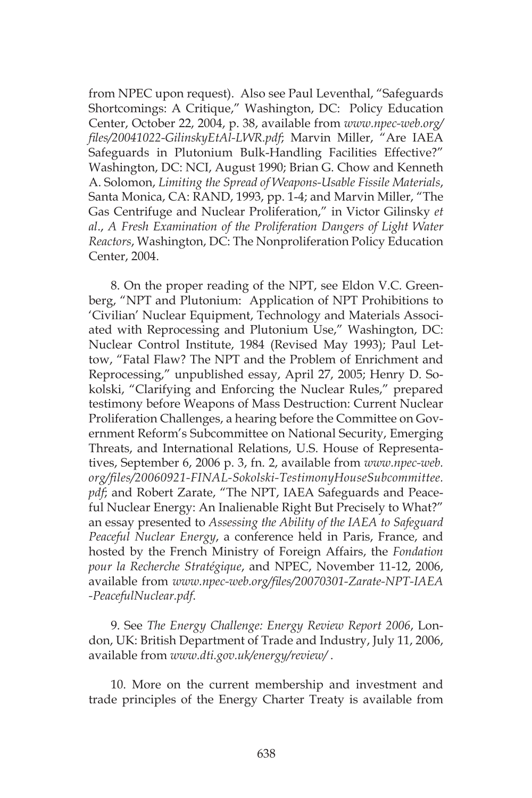from NPEC upon request). Also see Paul Leventhal, "Safeguards Shortcomings: A Critique," Washington, DC: Policy Education Center, October 22, 2004, p. 38, available from *www.npec-web.org/ files/20041022-GilinskyEtAl-LWR.pdf*; Marvin Miller, "Are IAEA Safeguards in Plutonium Bulk-Handling Facilities Effective?" Washington, DC: NCI, August 1990; Brian G. Chow and Kenneth A. Solomon, *Limiting the Spread of Weapons-Usable Fissile Materials*, Santa Monica, CA: RAND, 1993, pp. 1-4; and Marvin Miller, "The Gas Centrifuge and Nuclear Proliferation," in Victor Gilinsky *et al*., *A Fresh Examination of the Proliferation Dangers of Light Water Reactors*, Washington, DC: The Nonproliferation Policy Education Center, 2004.

8. On the proper reading of the NPT, see Eldon V.C. Greenberg, "NPT and Plutonium: Application of NPT Prohibitions to 'Civilian' Nuclear Equipment, Technology and Materials Associated with Reprocessing and Plutonium Use," Washington, DC: Nuclear Control Institute, 1984 (Revised May 1993); Paul Lettow, "Fatal Flaw? The NPT and the Problem of Enrichment and Reprocessing," unpublished essay, April 27, 2005; Henry D. Sokolski, "Clarifying and Enforcing the Nuclear Rules," prepared testimony before Weapons of Mass Destruction: Current Nuclear Proliferation Challenges, a hearing before the Committee on Government Reform's Subcommittee on National Security, Emerging Threats, and International Relations, U.S. House of Representatives, September 6, 2006 p. 3, fn. 2, available from *www.npec-web. org/files/20060921-FINAL-Sokolski-TestimonyHouseSubcommittee. pdf*; and Robert Zarate, "The NPT, IAEA Safeguards and Peaceful Nuclear Energy: An Inalienable Right But Precisely to What?" an essay presented to *Assessing the Ability of the IAEA to Safeguard Peaceful Nuclear Energy*, a conference held in Paris, France, and hosted by the French Ministry of Foreign Affairs, the *Fondation pour la Recherche Stratégique*, and NPEC, November 11-12, 2006, available from *www.npec-web.org/files/20070301-Zarate-NPT-IAEA -PeacefulNuclear.pdf*.

9. See *The Energy Challenge: Energy Review Report 2006*, London, UK: British Department of Trade and Industry, July 11, 2006, available from *www.dti.gov.uk/energy/review/* .

10. More on the current membership and investment and trade principles of the Energy Charter Treaty is available from